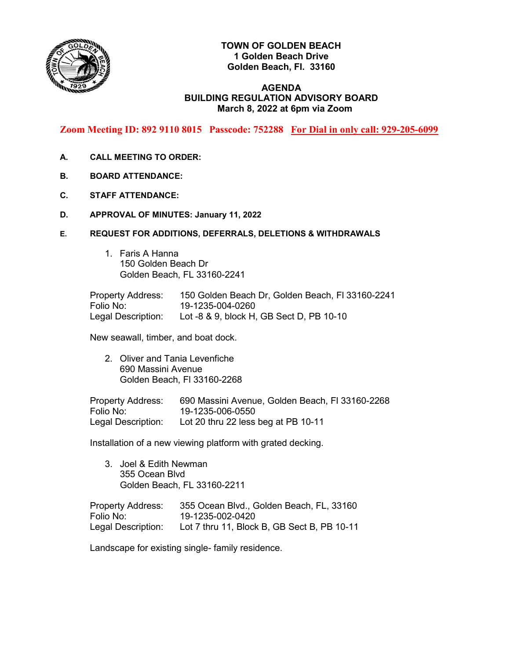

# **TOWN OF GOLDEN BEACH 1 Golden Beach Drive Golden Beach, Fl. 33160**

## **AGENDA BUILDING REGULATION ADVISORY BOARD March 8, 2022 at 6pm via Zoom**

**Zoom Meeting ID: 892 9110 8015 Passcode: 752288 For Dial in only call: 929-205-6099**

- **A. CALL MEETING TO ORDER:**
- **B. BOARD ATTENDANCE:**
- **C. STAFF ATTENDANCE:**
- **D. APPROVAL OF MINUTES: January 11, 2022**
- **E. REQUEST FOR ADDITIONS, DEFERRALS, DELETIONS & WITHDRAWALS**
	- 1. Faris A Hanna 150 Golden Beach Dr Golden Beach, FL 33160-2241

Property Address: 150 Golden Beach Dr, Golden Beach, Fl 33160-2241 Folio No: 19-1235-004-0260 Legal Description: Lot -8 & 9, block H, GB Sect D, PB 10-10

New seawall, timber, and boat dock.

2. Oliver and Tania Levenfiche 690 Massini Avenue Golden Beach, Fl 33160-2268

Property Address: 690 Massini Avenue, Golden Beach, Fl 33160-2268 Folio No: 19-1235-006-0550 Legal Description: Lot 20 thru 22 less beg at PB 10-11

Installation of a new viewing platform with grated decking.

3. Joel & Edith Newman 355 Ocean Blvd Golden Beach, FL 33160-2211

Property Address: 355 Ocean Blvd., Golden Beach, FL, 33160 Folio No: 19-1235-002-0420 Legal Description: Lot 7 thru 11, Block B, GB Sect B, PB 10-11

Landscape for existing single- family residence.